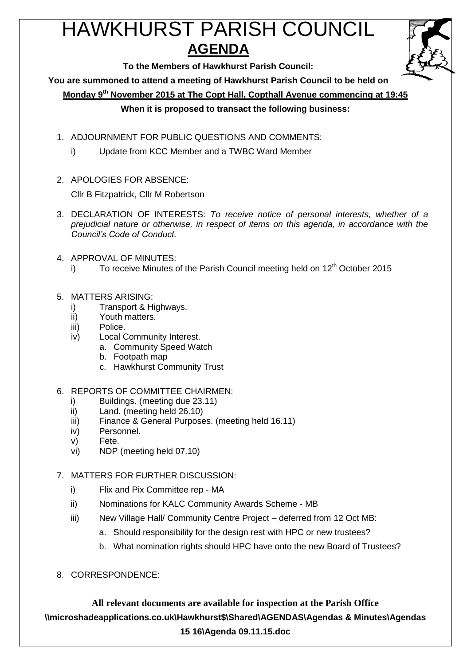# HAWKHURST PARISH COUNCIL **AGENDA**



**To the Members of Hawkhurst Parish Council:**

**You are summoned to attend a meeting of Hawkhurst Parish Council to be held on**

**Monday 9th November 2015 at The Copt Hall, Copthall Avenue commencing at 19:45**

## **When it is proposed to transact the following business:**

- 1. ADJOURNMENT FOR PUBLIC QUESTIONS AND COMMENTS:
	- i) Update from KCC Member and a TWBC Ward Member
- 2. APOLOGIES FOR ABSENCE:

Cllr B Fitzpatrick, Cllr M Robertson

- 3. DECLARATION OF INTERESTS: *To receive notice of personal interests, whether of a prejudicial nature or otherwise, in respect of items on this agenda, in accordance with the Council's Code of Conduct.*
- 4. APPROVAL OF MINUTES:
	- i) To receive Minutes of the Parish Council meeting held on  $12<sup>th</sup>$  October 2015
- 5. MATTERS ARISING:
	- i) Transport & Highways.
	- ii) Youth matters.
	- iii) Police.
	- iv) Local Community Interest.
		- a. Community Speed Watch
		- b. Footpath map
		- c. Hawkhurst Community Trust
- 6. REPORTS OF COMMITTEE CHAIRMEN:
	- i) Buildings. (meeting due 23.11)
	- ii) Land. (meeting held 26.10)
	- iii) Finance & General Purposes. (meeting held 16.11)
	- iv) Personnel.
	- v) Fete.
	- vi) NDP (meeting held 07.10)

# 7. MATTERS FOR FURTHER DISCUSSION:

- i) Flix and Pix Committee rep MA
- ii) Nominations for KALC Community Awards Scheme MB
- iii) New Village Hall/ Community Centre Project deferred from 12 Oct MB:
	- a. Should responsibility for the design rest with HPC or new trustees?
	- b. What nomination rights should HPC have onto the new Board of Trustees?
- 8. CORRESPONDENCE: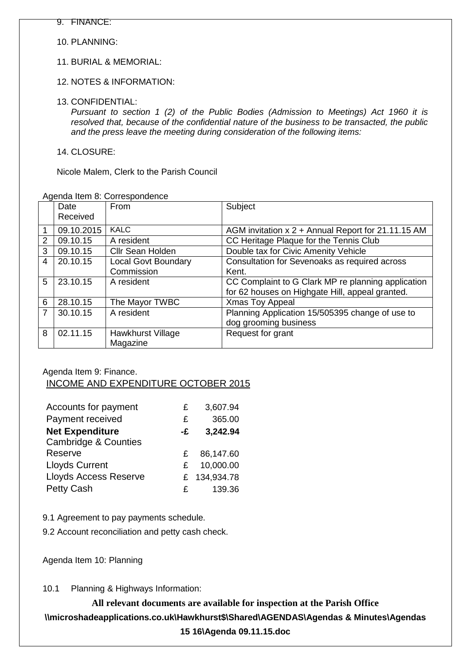10. PLANNING:

11. BURIAL & MEMORIAL:

12. NOTES & INFORMATION:

13. CONFIDENTIAL:

*Pursuant to section 1 (2) of the Public Bodies (Admission to Meetings) Act 1960 it is resolved that, because of the confidential nature of the business to be transacted, the public and the press leave the meeting during consideration of the following items:*

14. CLOSURE:

Nicole Malem, Clerk to the Parish Council

|                | Agenda hem of Correspondence |                            |                                                    |  |  |
|----------------|------------------------------|----------------------------|----------------------------------------------------|--|--|
|                | Date                         | From                       | Subject                                            |  |  |
|                | Received                     |                            |                                                    |  |  |
| $\mathbf{1}$   | 09.10.2015                   | <b>KALC</b>                | AGM invitation x 2 + Annual Report for 21.11.15 AM |  |  |
| 2              | 09.10.15                     | A resident                 | CC Heritage Plaque for the Tennis Club             |  |  |
| 3              | 09.10.15                     | <b>Cllr Sean Holden</b>    | Double tax for Civic Amenity Vehicle               |  |  |
| 4              | 20.10.15                     | <b>Local Govt Boundary</b> | Consultation for Sevenoaks as required across      |  |  |
|                |                              | Commission                 | Kent.                                              |  |  |
| 5              | 23.10.15                     | A resident                 | CC Complaint to G Clark MP re planning application |  |  |
|                |                              |                            | for 62 houses on Highgate Hill, appeal granted.    |  |  |
| 6              | 28.10.15                     | The Mayor TWBC             | <b>Xmas Toy Appeal</b>                             |  |  |
| $\overline{7}$ | 30.10.15                     | A resident                 | Planning Application 15/505395 change of use to    |  |  |
|                |                              |                            | dog grooming business                              |  |  |
| 8              | 02.11.15                     | Hawkhurst Village          | Request for grant                                  |  |  |
|                |                              | Magazine                   |                                                    |  |  |

Agenda Item 8: Correspondence

Agenda Item 9: Finance.

## INCOME AND EXPENDITURE OCTOBER 2015

| Accounts for payment            | £  | 3,607.94     |
|---------------------------------|----|--------------|
| Payment received                | £  | 365.00       |
| <b>Net Expenditure</b>          | -£ | 3,242.94     |
| <b>Cambridge &amp; Counties</b> |    |              |
| Reserve                         | £. | 86,147.60    |
| <b>Lloyds Current</b>           | £. | 10,000.00    |
| <b>Lloyds Access Reserve</b>    |    | £ 134,934.78 |
| Petty Cash                      | £  | 139.36       |

9.1 Agreement to pay payments schedule.

9.2 Account reconciliation and petty cash check.

Agenda Item 10: Planning

10.1 Planning & Highways Information: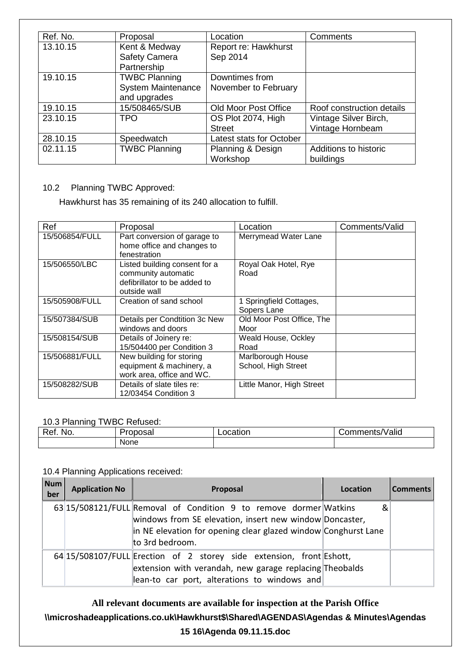| Ref. No.                  | Proposal                  | Location                 | Comments                  |
|---------------------------|---------------------------|--------------------------|---------------------------|
| Kent & Medway<br>13.10.15 |                           | Report re: Hawkhurst     |                           |
|                           | <b>Safety Camera</b>      | Sep 2014                 |                           |
|                           | Partnership               |                          |                           |
| 19.10.15                  | <b>TWBC Planning</b>      | Downtimes from           |                           |
|                           | <b>System Maintenance</b> | November to February     |                           |
|                           | and upgrades              |                          |                           |
| 19.10.15                  | 15/508465/SUB             | Old Moor Post Office     | Roof construction details |
| 23.10.15                  | TPO                       | OS Plot 2074, High       | Vintage Silver Birch,     |
|                           |                           | <b>Street</b>            | Vintage Hornbeam          |
| 28.10.15                  | Speedwatch                | Latest stats for October |                           |
| 02.11.15                  | <b>TWBC Planning</b>      | Planning & Design        | Additions to historic     |
|                           |                           | Workshop                 | buildings                 |

# 10.2 Planning TWBC Approved:

Hawkhurst has 35 remaining of its 240 allocation to fulfill.

| Ref            | Proposal                                                                                             | Location                                 | Comments/Valid |
|----------------|------------------------------------------------------------------------------------------------------|------------------------------------------|----------------|
| 15/506854/FULL | Part conversion of garage to<br>home office and changes to<br>fenestration                           | Merrymead Water Lane                     |                |
| 15/506550/LBC  | Listed building consent for a<br>community automatic<br>defibrillator to be added to<br>outside wall | Royal Oak Hotel, Rye<br>Road             |                |
| 15/505908/FULL | Creation of sand school                                                                              | 1 Springfield Cottages,<br>Sopers Lane   |                |
| 15/507384/SUB  | Details per Condtition 3c New<br>windows and doors                                                   | Old Moor Post Office, The<br>Moor        |                |
| 15/508154/SUB  | Details of Joinery re:<br>15/504400 per Condition 3                                                  | Weald House, Ockley<br>Road              |                |
| 15/506881/FULL | New building for storing<br>equipment & machinery, a<br>work area, office and WC.                    | Marlborough House<br>School, High Street |                |
| 15/508282/SUB  | Details of slate tiles re:<br>12/03454 Condition 3                                                   | Little Manor, High Street                |                |

#### 10.3 Planning TWBC Refused:

| Ret.<br>NO.<br>______ | м<br>n<br>)Sd | .<br>ב∩ר<br>auor<br>_ _ _ _ | 'Valid<br>. . ⊢<br> |
|-----------------------|---------------|-----------------------------|---------------------|
|                       | None          |                             |                     |

#### 10.4 Planning Applications received:

| <b>Num</b><br>ber | <b>Application No</b> | Proposal                                                                                                                                                                                                          | Location | <b>Comments</b> |
|-------------------|-----------------------|-------------------------------------------------------------------------------------------------------------------------------------------------------------------------------------------------------------------|----------|-----------------|
|                   |                       | 63 15/508121/FULL Removal of Condition 9 to remove dormer Watkins<br>windows from SE elevation, insert new window Doncaster,<br>in NE elevation for opening clear glazed window Conghurst Lane<br>to 3rd bedroom. | &        |                 |
|                   |                       | 64 15/508107/FULL Erection of 2 storey side extension, front Eshott,<br>extension with verandah, new garage replacing Theobalds<br>$\parallel$ lean-to car port, alterations to windows and                       |          |                 |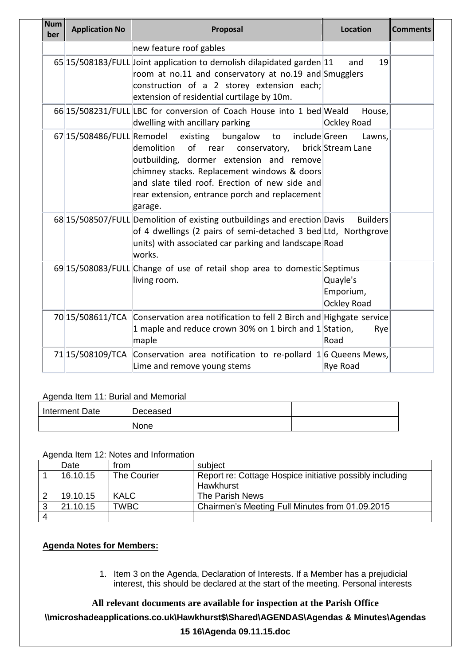| <b>Num</b><br>ber | <b>Application No</b>     | Proposal                                                                                                                                                                                                                                                                                     | <b>Location</b>                             | <b>Comments</b> |
|-------------------|---------------------------|----------------------------------------------------------------------------------------------------------------------------------------------------------------------------------------------------------------------------------------------------------------------------------------------|---------------------------------------------|-----------------|
|                   |                           | new feature roof gables                                                                                                                                                                                                                                                                      |                                             |                 |
|                   |                           | 65 15/508183/FULL Joint application to demolish dilapidated garden 11<br>room at no.11 and conservatory at no.19 and Smugglers<br>construction of a 2 storey extension each;<br>extension of residential curtilage by 10m.                                                                   | 19<br>and                                   |                 |
|                   |                           | 66 15/508231/FULL LBC for conversion of Coach House into 1 bed Weald<br>dwelling with ancillary parking                                                                                                                                                                                      | House,<br><b>Ockley Road</b>                |                 |
|                   | 67 15/508486/FULL Remodel | include Green<br>existing<br>bungalow to<br>demolition<br>of rear<br>conservatory,<br>outbuilding, dormer extension and remove<br>chimney stacks. Replacement windows & doors<br>and slate tiled roof. Erection of new side and<br>rear extension, entrance porch and replacement<br>garage. | Lawns,<br>brick Stream Lane                 |                 |
|                   |                           | 68 15/508507/FULL Demolition of existing outbuildings and erection Davis<br>of 4 dwellings (2 pairs of semi-detached 3 bed Ltd, Northgrove<br>units) with associated car parking and landscape Road<br>works.                                                                                | <b>Builders</b>                             |                 |
|                   |                           | 69 15/508083/FULL Change of use of retail shop area to domestic Septimus<br>living room.                                                                                                                                                                                                     | Quayle's<br>Emporium,<br><b>Ockley Road</b> |                 |
|                   | 70 15/508611/TCA          | Conservation area notification to fell 2 Birch and Highgate service<br>1 maple and reduce crown 30% on 1 birch and 1 Station,<br>maple                                                                                                                                                       | Rye<br>Road                                 |                 |
|                   | 71 15/508109/TCA          | Conservation area notification to re-pollard $1/6$ Queens Mews,<br>Lime and remove young stems                                                                                                                                                                                               | Rye Road                                    |                 |

#### Agenda Item 11: Burial and Memorial

| Interment Date | Deceased |  |
|----------------|----------|--|
|                | None     |  |

#### Agenda Item 12: Notes and Information

| Date     | from        | subject                                                  |
|----------|-------------|----------------------------------------------------------|
| 16.10.15 | The Courier | Report re: Cottage Hospice initiative possibly including |
|          |             | Hawkhurst                                                |
| 19.10.15 | <b>KALC</b> | The Parish News                                          |
| 21.10.15 | <b>TWBC</b> | Chairmen's Meeting Full Minutes from 01.09.2015          |
|          |             |                                                          |

#### **Agenda Notes for Members:**

1. Item 3 on the Agenda, Declaration of Interests. If a Member has a prejudicial interest, this should be declared at the start of the meeting. Personal interests